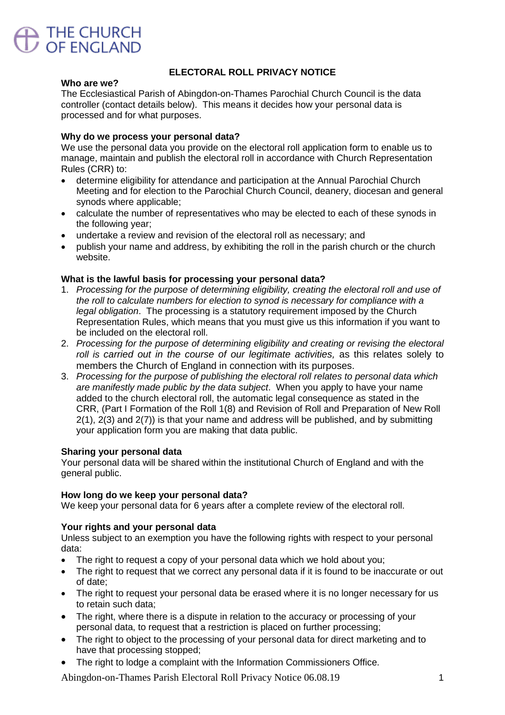

# **ELECTORAL ROLL PRIVACY NOTICE**

#### **Who are we?**

The Ecclesiastical Parish of Abingdon-on-Thames Parochial Church Council is the data controller (contact details below). This means it decides how your personal data is processed and for what purposes.

## **Why do we process your personal data?**

We use the personal data you provide on the electoral roll application form to enable us to manage, maintain and publish the electoral roll in accordance with Church Representation Rules (CRR) to:

- determine eligibility for attendance and participation at the Annual Parochial Church Meeting and for election to the Parochial Church Council, deanery, diocesan and general synods where applicable;
- calculate the number of representatives who may be elected to each of these synods in the following year;
- undertake a review and revision of the electoral roll as necessary; and
- publish your name and address, by exhibiting the roll in the parish church or the church website.

### **What is the lawful basis for processing your personal data?**

- 1. *Processing for the purpose of determining eligibility, creating the electoral roll and use of the roll to calculate numbers for election to synod is necessary for compliance with a legal obligation*. The processing is a statutory requirement imposed by the Church Representation Rules, which means that you must give us this information if you want to be included on the electoral roll.
- 2. *Processing for the purpose of determining eligibility and creating or revising the electoral roll is carried out in the course of our legitimate activities,* as this relates solely to members the Church of England in connection with its purposes.
- 3. *Processing for the purpose of publishing the electoral roll relates to personal data which are manifestly made public by the data subject*. When you apply to have your name added to the church electoral roll, the automatic legal consequence as stated in the CRR, (Part I Formation of the Roll 1(8) and Revision of Roll and Preparation of New Roll 2(1), 2(3) and 2(7)) is that your name and address will be published, and by submitting your application form you are making that data public.

#### **Sharing your personal data**

Your personal data will be shared within the institutional Church of England and with the general public.

### **How long do we keep your personal data?**

We keep your personal data for 6 years after a complete review of the electoral roll.

#### **Your rights and your personal data**

Unless subject to an exemption you have the following rights with respect to your personal data:

- The right to request a copy of your personal data which we hold about you;
- The right to request that we correct any personal data if it is found to be inaccurate or out of date;
- The right to request your personal data be erased where it is no longer necessary for us to retain such data;
- The right, where there is a dispute in relation to the accuracy or processing of your personal data, to request that a restriction is placed on further processing;
- The right to object to the processing of your personal data for direct marketing and to have that processing stopped;
- The right to lodge a complaint with the Information Commissioners Office.

Abingdon-on-Thames Parish Electoral Roll Privacy Notice 06.08.19 1